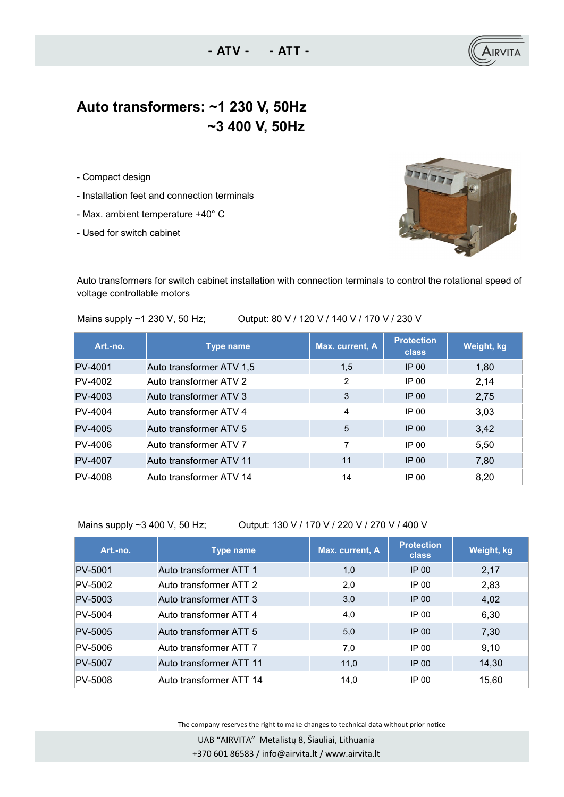## **Auto transformers: ~1 230 V, 50Hz ~3 400 V, 50Hz**

**- ATV - - ATT -**

- Compact design
- Installation feet and connection terminals
- Max. ambient temperature +40° C
- Used for switch cabinet



Auto transformers for switch cabinet installation with connection terminals to control the rotational speed of voltage controllable motors

Mains supply ~1 230 V, 50 Hz; Output: 80 V / 120 V / 140 V / 170 V / 230 V

| Art.-no.       | <b>Type name</b>         | Max. current, A | <b>Protection</b><br><b>class</b> | Weight, kg |
|----------------|--------------------------|-----------------|-----------------------------------|------------|
| <b>PV-4001</b> | Auto transformer ATV 1,5 | 1,5             | $IP$ 00                           | 1,80       |
| PV-4002        | Auto transformer ATV 2   | 2               | IP 00                             | 2,14       |
| PV-4003        | Auto transformer ATV 3   | 3               | $IP$ 00                           | 2,75       |
| PV-4004        | Auto transformer ATV 4   | 4               | IP 00                             | 3,03       |
| PV-4005        | Auto transformer ATV 5   | 5               | IP 00                             | 3,42       |
| PV-4006        | Auto transformer ATV 7   | 7               | IP 00                             | 5,50       |
| PV-4007        | Auto transformer ATV 11  | 11              | $IP$ 00                           | 7,80       |
| PV-4008        | Auto transformer ATV 14  | 14              | IP 00                             | 8,20       |

Mains supply ~3 400 V, 50 Hz; Output: 130 V / 170 V / 220 V / 270 V / 400 V

| Art.-no.       | <b>Type name</b>        | <b>Max. current, A</b> | <b>Protection</b><br><b>class</b> | Weight, kg |
|----------------|-------------------------|------------------------|-----------------------------------|------------|
| PV-5001        | Auto transformer ATT 1  | 1,0                    | $IP$ 00                           | 2,17       |
| PV-5002        | Auto transformer ATT 2  | 2,0                    | IP 00                             | 2,83       |
| PV-5003        | Auto transformer ATT 3  | 3,0                    | $IP$ 00                           | 4,02       |
| PV-5004        | Auto transformer ATT 4  | 4,0                    | IP 00                             | 6,30       |
| PV-5005        | Auto transformer ATT 5  | 5,0                    | IP 00                             | 7,30       |
| PV-5006        | Auto transformer ATT 7  | 7,0                    | IP 00                             | 9,10       |
| <b>PV-5007</b> | Auto transformer ATT 11 | 11,0                   | IP 00                             | 14,30      |
| PV-5008        | Auto transformer ATT 14 | 14,0                   | IP 00                             | 15,60      |

The company reserves the right to make changes to technical data without prior notice

 UAB "AIRVITA" Metalistų 8, Šiauliai, Lithuania +370 601 86583 / info@airvita.lt / www.airvita.lt